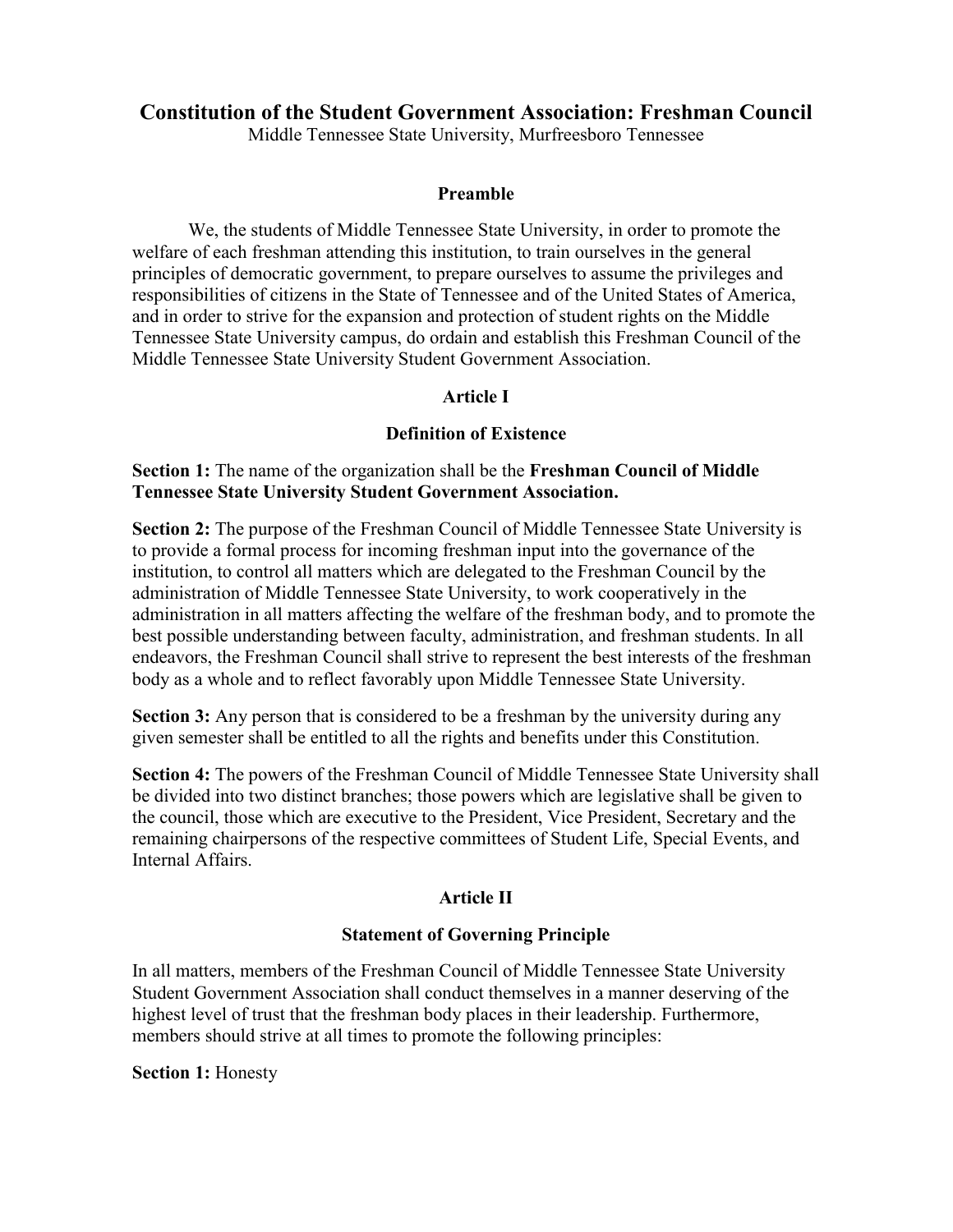## **Constitution of the Student Government Association: Freshman Council**

Middle Tennessee State University, Murfreesboro Tennessee

#### **Preamble**

We, the students of Middle Tennessee State University, in order to promote the welfare of each freshman attending this institution, to train ourselves in the general principles of democratic government, to prepare ourselves to assume the privileges and responsibilities of citizens in the State of Tennessee and of the United States of America, and in order to strive for the expansion and protection of student rights on the Middle Tennessee State University campus, do ordain and establish this Freshman Council of the Middle Tennessee State University Student Government Association.

### **Article I**

#### **Definition of Existence**

### **Section 1:** The name of the organization shall be the **Freshman Council of Middle Tennessee State University Student Government Association.**

**Section 2:** The purpose of the Freshman Council of Middle Tennessee State University is to provide a formal process for incoming freshman input into the governance of the institution, to control all matters which are delegated to the Freshman Council by the administration of Middle Tennessee State University, to work cooperatively in the administration in all matters affecting the welfare of the freshman body, and to promote the best possible understanding between faculty, administration, and freshman students. In all endeavors, the Freshman Council shall strive to represent the best interests of the freshman body as a whole and to reflect favorably upon Middle Tennessee State University.

**Section 3:** Any person that is considered to be a freshman by the university during any given semester shall be entitled to all the rights and benefits under this Constitution.

**Section 4:** The powers of the Freshman Council of Middle Tennessee State University shall be divided into two distinct branches; those powers which are legislative shall be given to the council, those which are executive to the President, Vice President, Secretary and the remaining chairpersons of the respective committees of Student Life, Special Events, and Internal Affairs.

### **Article II**

### **Statement of Governing Principle**

In all matters, members of the Freshman Council of Middle Tennessee State University Student Government Association shall conduct themselves in a manner deserving of the highest level of trust that the freshman body places in their leadership. Furthermore, members should strive at all times to promote the following principles:

#### **Section 1:** Honesty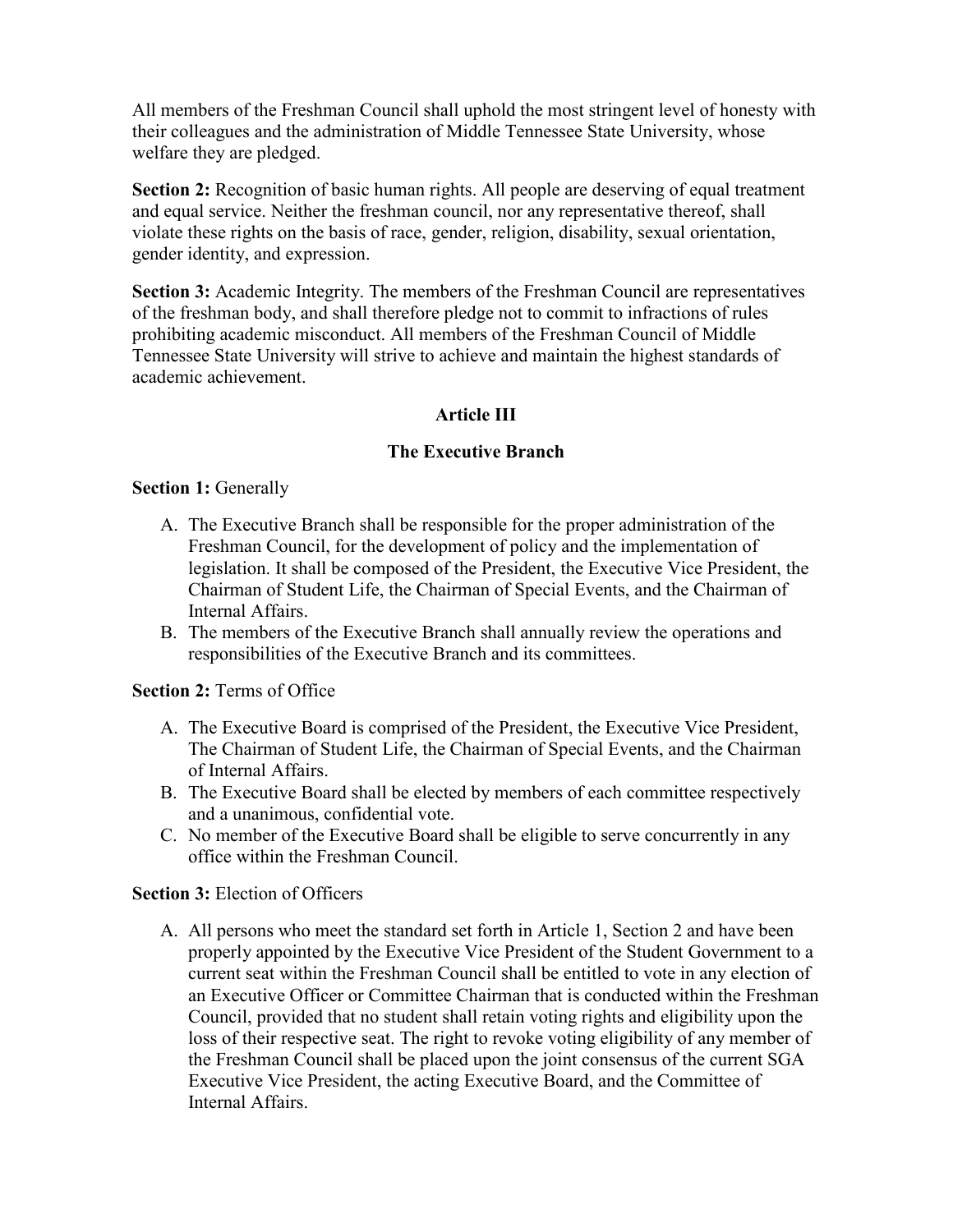All members of the Freshman Council shall uphold the most stringent level of honesty with their colleagues and the administration of Middle Tennessee State University, whose welfare they are pledged.

**Section 2:** Recognition of basic human rights. All people are deserving of equal treatment and equal service. Neither the freshman council, nor any representative thereof, shall violate these rights on the basis of race, gender, religion, disability, sexual orientation, gender identity, and expression.

**Section 3:** Academic Integrity. The members of the Freshman Council are representatives of the freshman body, and shall therefore pledge not to commit to infractions of rules prohibiting academic misconduct. All members of the Freshman Council of Middle Tennessee State University will strive to achieve and maintain the highest standards of academic achievement.

# **Article III**

## **The Executive Branch**

## **Section 1: Generally**

- A. The Executive Branch shall be responsible for the proper administration of the Freshman Council, for the development of policy and the implementation of legislation. It shall be composed of the President, the Executive Vice President, the Chairman of Student Life, the Chairman of Special Events, and the Chairman of Internal Affairs.
- B. The members of the Executive Branch shall annually review the operations and responsibilities of the Executive Branch and its committees.

## **Section 2:** Terms of Office

- A. The Executive Board is comprised of the President, the Executive Vice President, The Chairman of Student Life, the Chairman of Special Events, and the Chairman of Internal Affairs.
- B. The Executive Board shall be elected by members of each committee respectively and a unanimous, confidential vote.
- C. No member of the Executive Board shall be eligible to serve concurrently in any office within the Freshman Council.

# **Section 3: Election of Officers**

A. All persons who meet the standard set forth in Article 1, Section 2 and have been properly appointed by the Executive Vice President of the Student Government to a current seat within the Freshman Council shall be entitled to vote in any election of an Executive Officer or Committee Chairman that is conducted within the Freshman Council, provided that no student shall retain voting rights and eligibility upon the loss of their respective seat. The right to revoke voting eligibility of any member of the Freshman Council shall be placed upon the joint consensus of the current SGA Executive Vice President, the acting Executive Board, and the Committee of Internal Affairs.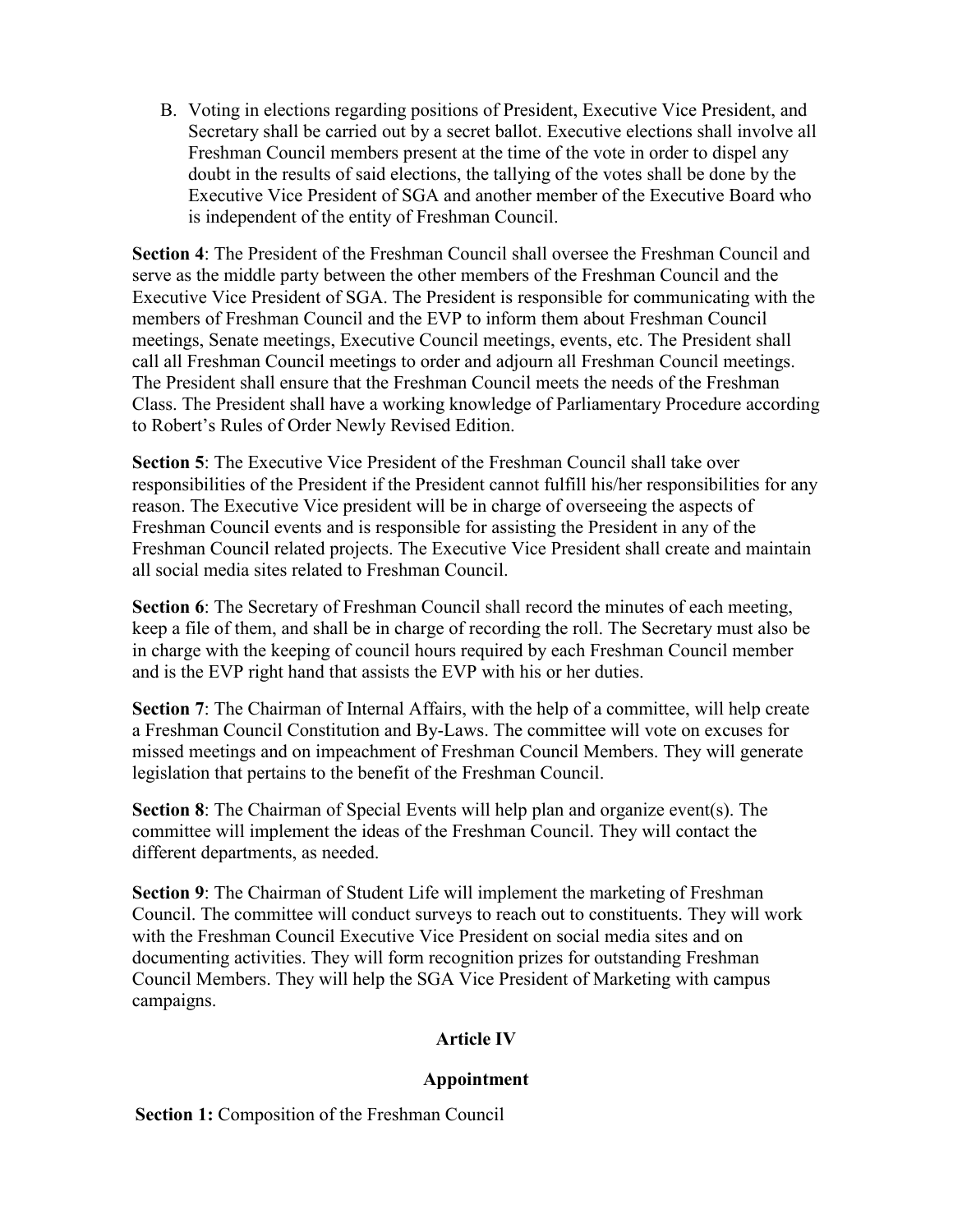B. Voting in elections regarding positions of President, Executive Vice President, and Secretary shall be carried out by a secret ballot. Executive elections shall involve all Freshman Council members present at the time of the vote in order to dispel any doubt in the results of said elections, the tallying of the votes shall be done by the Executive Vice President of SGA and another member of the Executive Board who is independent of the entity of Freshman Council.

**Section 4**: The President of the Freshman Council shall oversee the Freshman Council and serve as the middle party between the other members of the Freshman Council and the Executive Vice President of SGA. The President is responsible for communicating with the members of Freshman Council and the EVP to inform them about Freshman Council meetings, Senate meetings, Executive Council meetings, events, etc. The President shall call all Freshman Council meetings to order and adjourn all Freshman Council meetings. The President shall ensure that the Freshman Council meets the needs of the Freshman Class. The President shall have a working knowledge of Parliamentary Procedure according to Robert's Rules of Order Newly Revised Edition.

**Section 5**: The Executive Vice President of the Freshman Council shall take over responsibilities of the President if the President cannot fulfill his/her responsibilities for any reason. The Executive Vice president will be in charge of overseeing the aspects of Freshman Council events and is responsible for assisting the President in any of the Freshman Council related projects. The Executive Vice President shall create and maintain all social media sites related to Freshman Council.

**Section 6**: The Secretary of Freshman Council shall record the minutes of each meeting, keep a file of them, and shall be in charge of recording the roll. The Secretary must also be in charge with the keeping of council hours required by each Freshman Council member and is the EVP right hand that assists the EVP with his or her duties.

**Section 7:** The Chairman of Internal Affairs, with the help of a committee, will help create a Freshman Council Constitution and By-Laws. The committee will vote on excuses for missed meetings and on impeachment of Freshman Council Members. They will generate legislation that pertains to the benefit of the Freshman Council.

**Section 8**: The Chairman of Special Events will help plan and organize event(s). The committee will implement the ideas of the Freshman Council. They will contact the different departments, as needed.

**Section 9**: The Chairman of Student Life will implement the marketing of Freshman Council. The committee will conduct surveys to reach out to constituents. They will work with the Freshman Council Executive Vice President on social media sites and on documenting activities. They will form recognition prizes for outstanding Freshman Council Members. They will help the SGA Vice President of Marketing with campus campaigns.

## **Article IV**

## **Appointment**

**Section 1:** Composition of the Freshman Council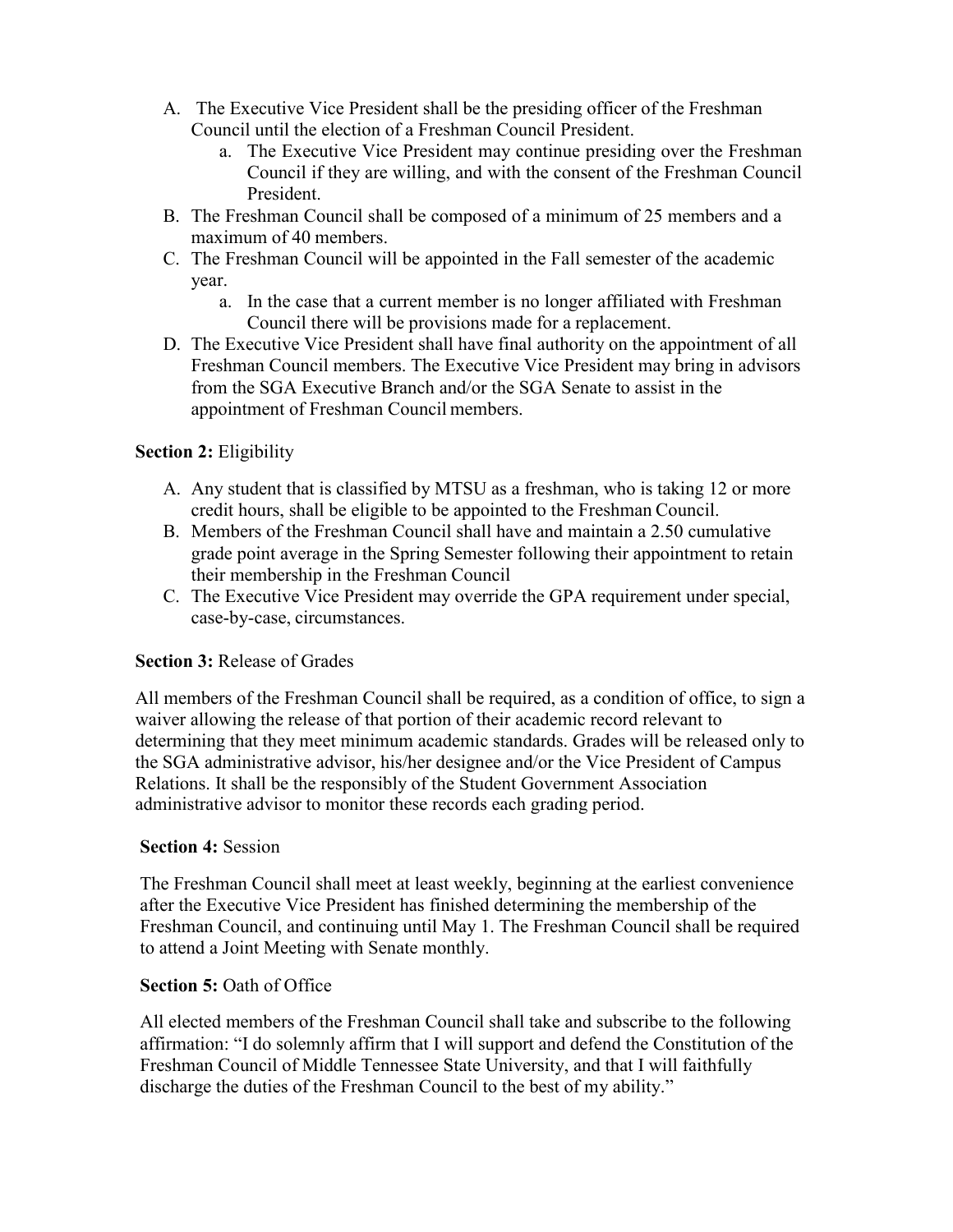- A. The Executive Vice President shall be the presiding officer of the Freshman Council until the election of a Freshman Council President.
	- a. The Executive Vice President may continue presiding over the Freshman Council if they are willing, and with the consent of the Freshman Council President.
- B. The Freshman Council shall be composed of a minimum of 25 members and a maximum of 40 members.
- C. The Freshman Council will be appointed in the Fall semester of the academic year.
	- a. In the case that a current member is no longer affiliated with Freshman Council there will be provisions made for a replacement.
- D. The Executive Vice President shall have final authority on the appointment of all Freshman Council members. The Executive Vice President may bring in advisors from the SGA Executive Branch and/or the SGA Senate to assist in the appointment of Freshman Council members.

# **Section 2:** Eligibility

- A. Any student that is classified by MTSU as a freshman, who is taking 12 or more credit hours, shall be eligible to be appointed to the Freshman Council.
- B. Members of the Freshman Council shall have and maintain a 2.50 cumulative grade point average in the Spring Semester following their appointment to retain their membership in the Freshman Council
- C. The Executive Vice President may override the GPA requirement under special, case-by-case, circumstances.

## **Section 3:** Release of Grades

All members of the Freshman Council shall be required, as a condition of office, to sign a waiver allowing the release of that portion of their academic record relevant to determining that they meet minimum academic standards. Grades will be released only to the SGA administrative advisor, his/her designee and/or the Vice President of Campus Relations. It shall be the responsibly of the Student Government Association administrative advisor to monitor these records each grading period.

## **Section 4:** Session

The Freshman Council shall meet at least weekly, beginning at the earliest convenience after the Executive Vice President has finished determining the membership of the Freshman Council, and continuing until May 1. The Freshman Council shall be required to attend a Joint Meeting with Senate monthly.

### **Section 5:** Oath of Office

All elected members of the Freshman Council shall take and subscribe to the following affirmation: "I do solemnly affirm that I will support and defend the Constitution of the Freshman Council of Middle Tennessee State University, and that I will faithfully discharge the duties of the Freshman Council to the best of my ability."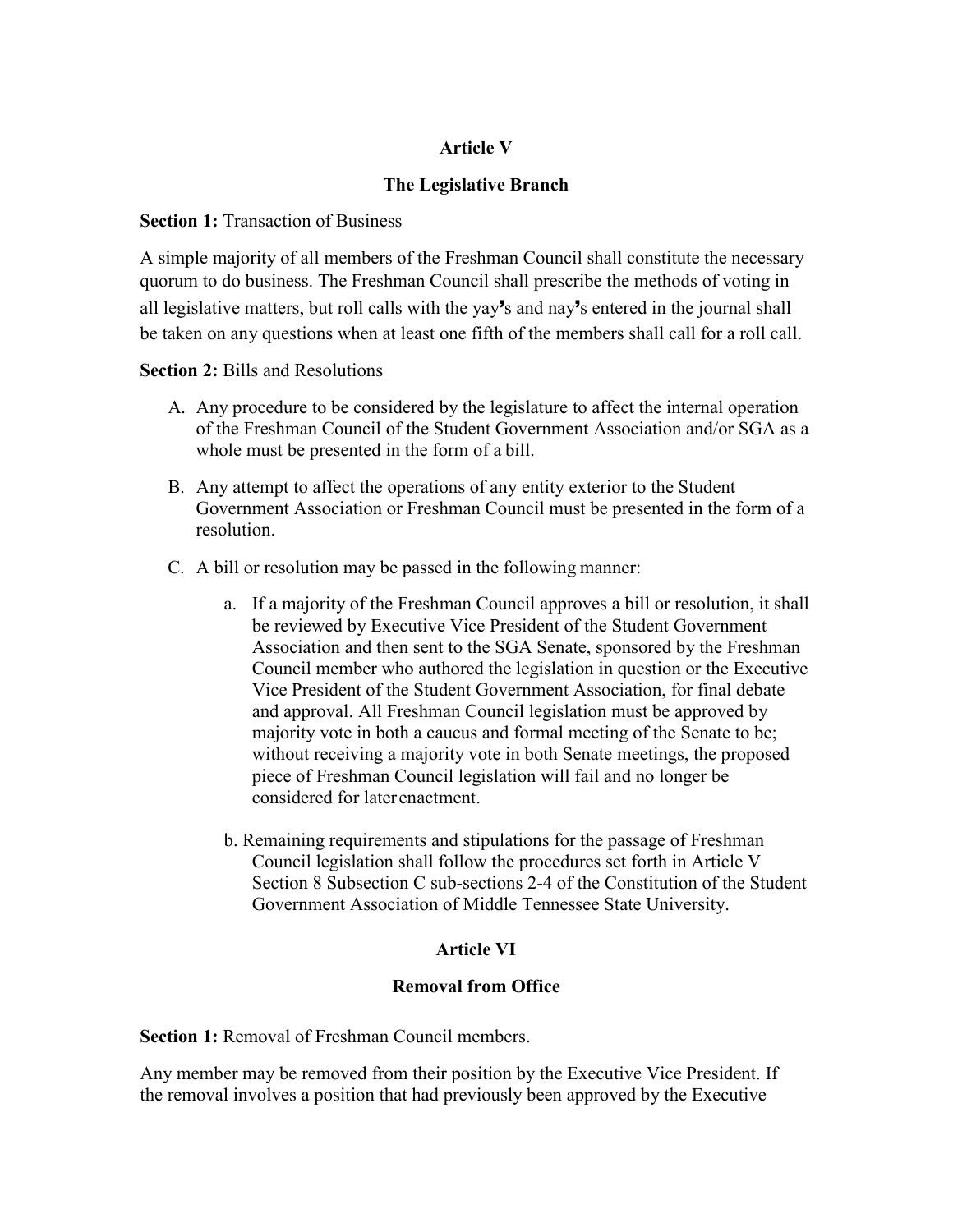## **Article V**

## **The Legislative Branch**

### **Section 1: Transaction of Business**

A simple majority of all members of the Freshman Council shall constitute the necessary quorum to do business. The Freshman Council shall prescribe the methods of voting in all legislative matters, but roll calls with the yay's and nay's entered in the journal shall be taken on any questions when at least one fifth of the members shall call for a roll call.

### **Section 2:** Bills and Resolutions

- A. Any procedure to be considered by the legislature to affect the internal operation of the Freshman Council of the Student Government Association and/or SGA as a whole must be presented in the form of a bill.
- B. Any attempt to affect the operations of any entity exterior to the Student Government Association or Freshman Council must be presented in the form of a resolution.
- C. A bill or resolution may be passed in the following manner:
	- a. If a majority of the Freshman Council approves a bill or resolution, it shall be reviewed by Executive Vice President of the Student Government Association and then sent to the SGA Senate, sponsored by the Freshman Council member who authored the legislation in question or the Executive Vice President of the Student Government Association, for final debate and approval. All Freshman Council legislation must be approved by majority vote in both a caucus and formal meeting of the Senate to be; without receiving a majority vote in both Senate meetings, the proposed piece of Freshman Council legislation will fail and no longer be considered for laterenactment.
	- b. Remaining requirements and stipulations for the passage of Freshman Council legislation shall follow the procedures set forth in Article V Section 8 Subsection C sub-sections 2-4 of the Constitution of the Student Government Association of Middle Tennessee State University.

## **Article VI**

### **Removal from Office**

**Section 1:** Removal of Freshman Council members.

Any member may be removed from their position by the Executive Vice President. If the removal involves a position that had previously been approved by the Executive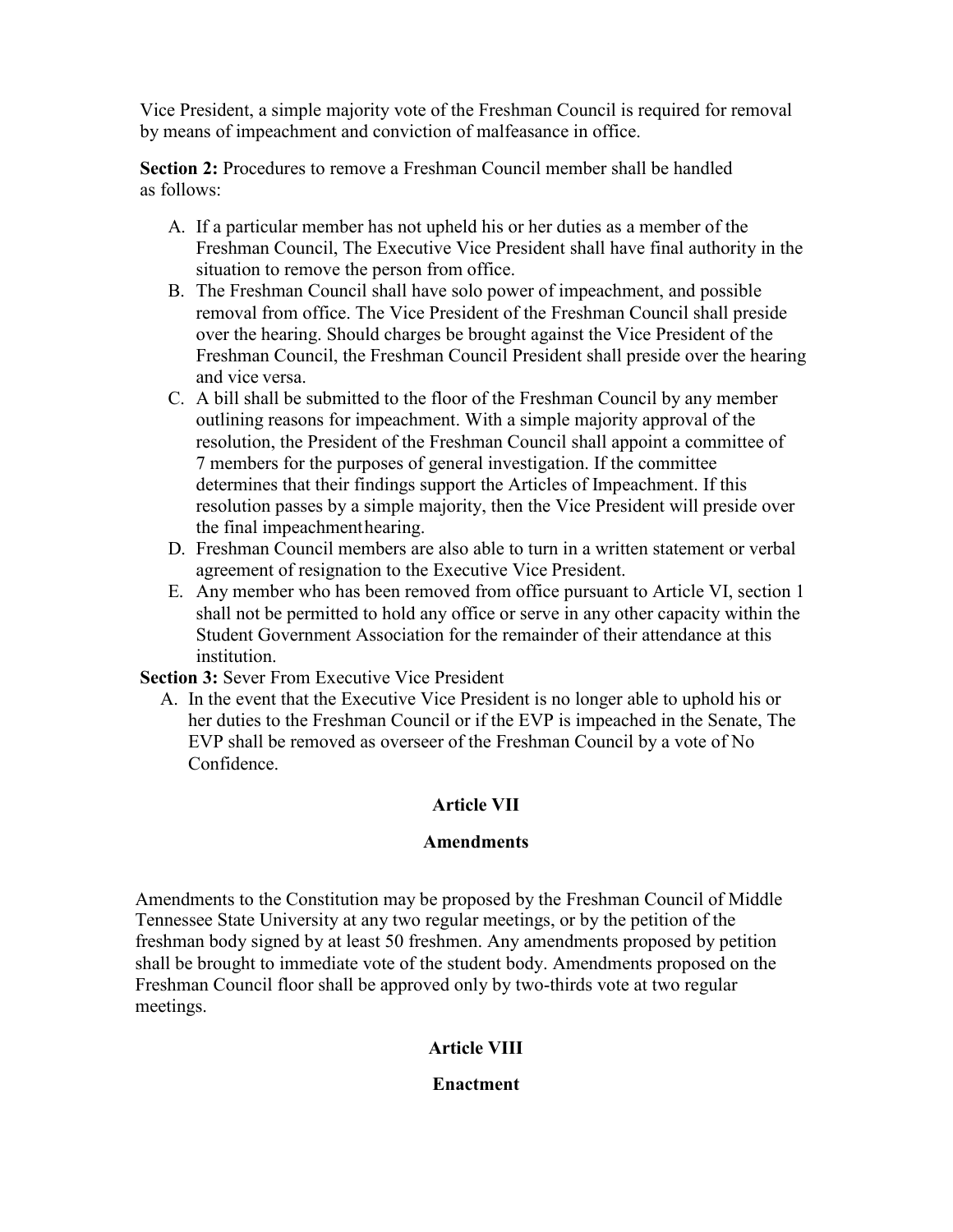Vice President, a simple majority vote of the Freshman Council is required for removal by means of impeachment and conviction of malfeasance in office.

**Section 2:** Procedures to remove a Freshman Council member shall be handled as follows:

- A. If a particular member has not upheld his or her duties as a member of the Freshman Council, The Executive Vice President shall have final authority in the situation to remove the person from office.
- B. The Freshman Council shall have solo power of impeachment, and possible removal from office. The Vice President of the Freshman Council shall preside over the hearing. Should charges be brought against the Vice President of the Freshman Council, the Freshman Council President shall preside over the hearing and vice versa.
- C. A bill shall be submitted to the floor of the Freshman Council by any member outlining reasons for impeachment. With a simple majority approval of the resolution, the President of the Freshman Council shall appoint a committee of 7 members for the purposes of general investigation. If the committee determines that their findings support the Articles of Impeachment. If this resolution passes by a simple majority, then the Vice President will preside over the final impeachmenthearing.
- D. Freshman Council members are also able to turn in a written statement or verbal agreement of resignation to the Executive Vice President.
- E. Any member who has been removed from office pursuant to Article VI, section 1 shall not be permitted to hold any office or serve in any other capacity within the Student Government Association for the remainder of their attendance at this institution.

**Section 3:** Sever From Executive Vice President

A. In the event that the Executive Vice President is no longer able to uphold his or her duties to the Freshman Council or if the EVP is impeached in the Senate, The EVP shall be removed as overseer of the Freshman Council by a vote of No Confidence.

# **Article VII**

## **Amendments**

Amendments to the Constitution may be proposed by the Freshman Council of Middle Tennessee State University at any two regular meetings, or by the petition of the freshman body signed by at least 50 freshmen. Any amendments proposed by petition shall be brought to immediate vote of the student body. Amendments proposed on the Freshman Council floor shall be approved only by two-thirds vote at two regular meetings.

# **Article VIII**

## **Enactment**